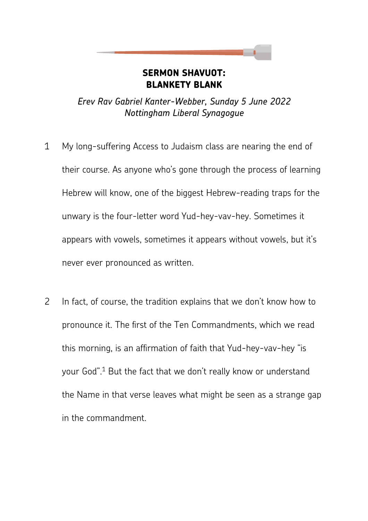## **SERMON SHAVUOT: BLANKETY BLANK**

*Erev Rav Gabriel Kanter-Webber, Sunday 5 June 2022 Nottingham Liberal Synagogue* 

- 1 My long-suffering Access to Judaism class are nearing the end of their course. As anyone who's gone through the process of learning Hebrew will know, one of the biggest Hebrew-reading traps for the unwary is the four-letter word Yud-hey-vav-hey. Sometimes it appears with vowels, sometimes it appears without vowels, but it's never ever pronounced as written.
- 2 In fact, of course, the tradition explains that we don't know how to pronounce it. The first of the Ten Commandments, which we read this morning, is an affirmation of faith that Yud-hey-vav-hey "is your God".<sup>1</sup> But the fact that we don't really know or understand the Name in that verse leaves what might be seen as a strange gap in the commandment.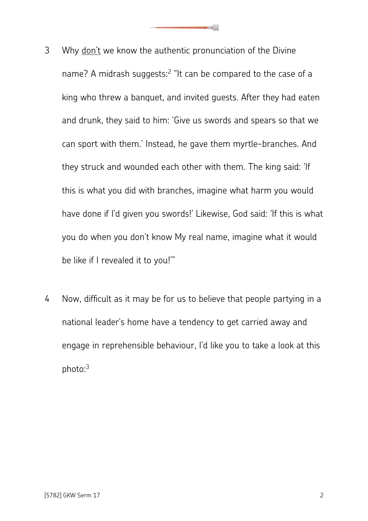- 3 Why don't we know the authentic pronunciation of the Divine name? A midrash suggests:<sup>2</sup> "It can be compared to the case of a king who threw a banquet, and invited guests. After they had eaten and drunk, they said to him: 'Give us swords and spears so that we can sport with them.' Instead, he gave them myrtle-branches. And they struck and wounded each other with them. The king said: 'If this is what you did with branches, imagine what harm you would have done if I'd given you swords!' Likewise, God said: 'If this is what you do when you don't know My real name, imagine what it would be like if I revealed it to you!'"
- 4 Now, difficult as it may be for us to believe that people partying in a national leader's home have a tendency to get carried away and engage in reprehensible behaviour, I'd like you to take a look at this photo:3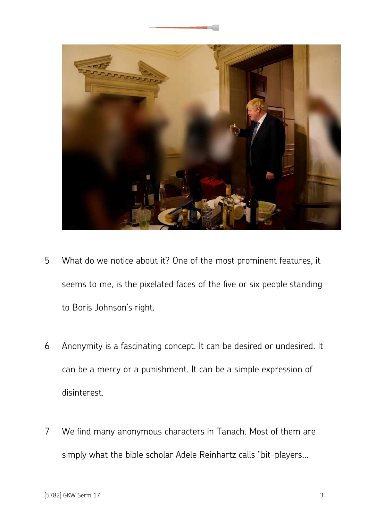

- 5 What do we notice about it? One of the most prominent features, it seems to me, is the pixelated faces of the five or six people standing to Boris Johnson's right.
- 6 Anonymity is a fascinating concept. It can be desired or undesired. It can be a mercy or a punishment. It can be a simple expression of disinterest.
- 7 We find many anonymous characters in Tanach. Most of them are simply what the bible scholar Adele Reinhartz calls "bit-players…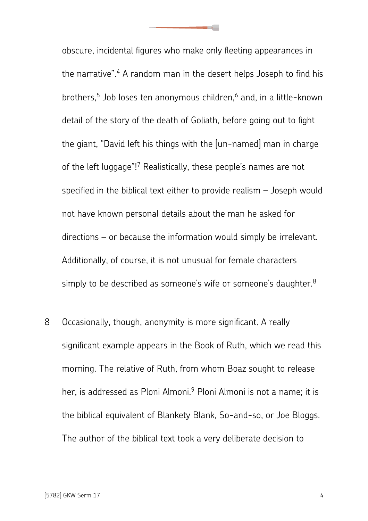obscure, incidental figures who make only fleeting appearances in the narrative".<sup>4</sup> A random man in the desert helps Joseph to find his brothers,<sup>5</sup> Job loses ten anonymous children,<sup>6</sup> and, in a little-known detail of the story of the death of Goliath, before going out to fight the giant, "David left his things with the [un-named] man in charge of the left luggage"!<sup>7</sup> Realistically, these people's names are not specified in the biblical text either to provide realism – Joseph would not have known personal details about the man he asked for directions – or because the information would simply be irrelevant. Additionally, of course, it is not unusual for female characters simply to be described as someone's wife or someone's daughter.<sup>8</sup>

8 Occasionally, though, anonymity is more significant. A really significant example appears in the Book of Ruth, which we read this morning. The relative of Ruth, from whom Boaz sought to release her, is addressed as Ploni Almoni.<sup>9</sup> Ploni Almoni is not a name; it is the biblical equivalent of Blankety Blank, So-and-so, or Joe Bloggs. The author of the biblical text took a very deliberate decision to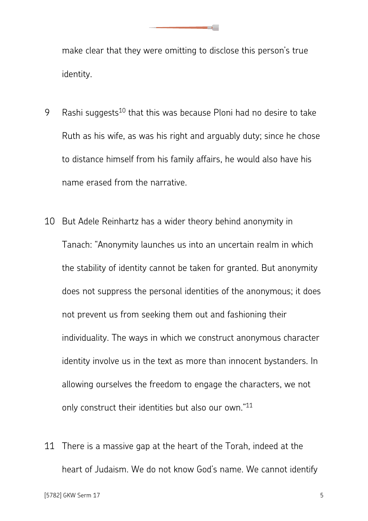

make clear that they were omitting to disclose this person's true identity.

- 9 Rashi suggests<sup>10</sup> that this was because Ploni had no desire to take Ruth as his wife, as was his right and arguably duty; since he chose to distance himself from his family affairs, he would also have his name erased from the narrative.
- 10 But Adele Reinhartz has a wider theory behind anonymity in Tanach: "Anonymity launches us into an uncertain realm in which the stability of identity cannot be taken for granted. But anonymity does not suppress the personal identities of the anonymous; it does not prevent us from seeking them out and fashioning their individuality. The ways in which we construct anonymous character identity involve us in the text as more than innocent bystanders. In allowing ourselves the freedom to engage the characters, we not only construct their identities but also our own."<sup>11</sup>
- 11 There is a massive gap at the heart of the Torah, indeed at the heart of Judaism. We do not know God's name. We cannot identify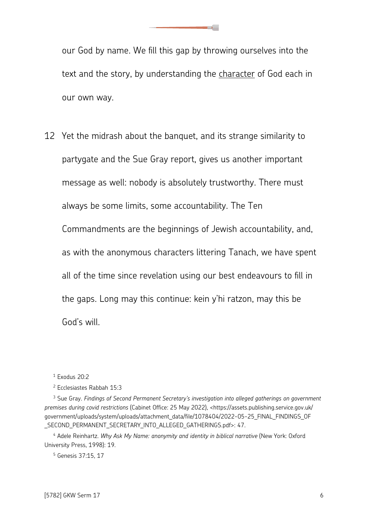

our God by name. We fill this gap by throwing ourselves into the text and the story, by understanding the character of God each in our own way.

12 Yet the midrash about the banquet, and its strange similarity to partygate and the Sue Gray report, gives us another important message as well: nobody is absolutely trustworthy. There must always be some limits, some accountability. The Ten Commandments are the beginnings of Jewish accountability, and, as with the anonymous characters littering Tanach, we have spent all of the time since revelation using our best endeavours to fill in the gaps. Long may this continue: kein y'hi ratzon, may this be

God's will.

1 Exodus 20:2

2 Ecclesiastes Rabbah 15:3

3 Sue Gray. *Findings of Second Permanent Secretary's investigation into alleged gatherings on government premises during covid restrictions* (Cabinet Office: 25 May 2022), <https://assets.publishing.service.gov.uk/ government/uploads/system/uploads/attachment\_data/file/1078404/2022-05-25\_FINAL\_FINDINGS\_OF SECOND\_PERMANENT\_SECRETARY\_INTO\_ALLEGED\_GATHERINGS.pdf>: 47.

4 Adele Reinhartz. *Why Ask My Name: anonymity and identity in biblical narrative* (New York: Oxford University Press, 1998): 19.

5 Genesis 37:15, 17